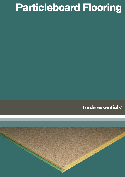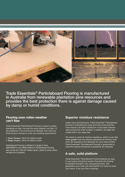

Trade Essentials® Particleboard Flooring is manufactured in Australia from renewable plantation pine resources and provides the best protection there is against damage caused by damp or humid conditions.

### **Flooring even rotten weather can't flaw**

Trade Essentials® Particleboard Flooring is made to quality standards so high, not even the worst weather can flaw it if the guidelines in this brochure are followed. And, there are three product choices to cover your building requirements:

- Green Tongue: 19mm for 450mm joists
- Beige Tongue: 22mm for 600mm joists

Particleboard Flooring is offered in a range of sizes (3600x800mm and 3600x1200mm). Particleboard Flooring also comes as a Termite Treated option, great for areas where termites are a problem.

### **Superior moisture resistance**

Unlike many particleboards, Trade Essentials® Particleboard Flooring is manufactured using extra fine wood particles. This ensures a far better distribution of the water resistant resins across the entire surface. In addition, all edges are coated with a wax edge seal.

The result is a level of moisture resistance, which is over two times greater than the required standards for flooring. Even when left exposed to the elements for up to three months Trade Essentials® Particleboard Flooring is guaranteed to meet the required standards (if guidelines are followed).

# **A safe, solid platform**

Trade Essentials® Particleboard Flooring features an easy to use tongue and groove system that gives the flooring remarkable strength in the unsupported joints. This guarantees you a safe and solid platform on which to build your frame, or lay your floor coverings.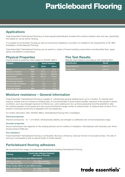# **Applications**

Trade Essentials® Particleboard Flooring is a three layered particleboard, bonded with moisture resistant resin and wax, specifically formulated for use as interior flooring.

It is suitable for all domestic housing as well as commercial installations, provided it is installed to the requirements of AS 1860 (Installation of Particleboard Flooring).

Trade Essentials® Particleboard Flooring can be used for a variety of framed building constructions including fitted floor, upper storey and platform constructions.

# **Physical Properties**

(Typical physical properties when tested to AS/NZS 1860.1)

| <b>Property</b>                 |                   | <b>Board Thickness</b> |                |
|---------------------------------|-------------------|------------------------|----------------|
|                                 | <b>Unit</b>       | 19mm                   | 22mm           |
| Weight                          | Kq/m <sup>2</sup> | 13.1                   | 14.7           |
| <b>Modulus of Rupture</b>       | <b>MPa</b>        | 25 av.                 | 25 av.         |
| <b>Modulus of Elasticity</b>    | <b>MPa</b>        | 3400 av.               | 3400 av.       |
| <b>Internal Bond</b>            | <b>MPa</b>        | 800 av.                | 700 av.        |
| Thickness Swell 24hr            | $\frac{0}{6}$     | < 5                    | < 4            |
| Wet Bending Strength            | <b>MPa</b>        | 5                      | $\overline{5}$ |
| <b>Surface Water Absorption</b> | g/m <sup>2</sup>  | < 60                   | < 60           |
| <b>Thickness Stability</b>      | $\frac{0}{6}$     | < 10                   | < 9            |
| <b>Glue Bond Quality</b>        | <b>MPa</b>        | 15.5                   | 14.0           |

# **Fire Test Results**

(Results when tested in accordance with AS/NZS 3837)

| <b>Classification</b>     | Result                    |
|---------------------------|---------------------------|
| <b>Critical Heat Flux</b> | $1.5.6$ kw/m <sup>2</sup> |
| Smoke Value               | 9% min                    |

# **Moisture resistance – General information**

Trade Essentials® Particleboard Flooring is capable of withstanding general weathering for up to 3 months. To maintain best practice, boards must be covered on building sites. It is recommended to avoid where possible, exposure of the panels to severe conditions, such as prolonged exposure to intense sun, cyclic soaking rain etc, as these exposures have the potential to alter the moisture gradient of the panels and may cause dimensional change, similar to natural timber. A moisture level of about 7% is present in the board at the time of despatch from the warehouse.

For further information refer: AS/NZS 1860.2: Particleboard Flooring Part 2 Installation.

#### **Thermal properties**

Thermal conductivity – 0.1 – 0.14 W/mk. Dimensionally stability and strength is unaffected over normal temperature range.

#### **Acoustic properties**

Sound transmission loss depends on the building element and its method of installation. Particleboard with thickness over 16mm should achieve 25dB loss.

#### **Fire resistance**

Trade Essentials® Particleboard Flooring is combustible. Burning is limited by charcoal formed on the board surface. The rate of burning is comparable to that of natural timber of similar density.

# **Particleboard flooring adhesives**

We recommend the usage of construction adhesives for installing Particleboard Flooring.

| <b>Flooring</b>                            | <b>Construction Adhesive Required</b><br>per Pack of Flooring |  |  |  |
|--------------------------------------------|---------------------------------------------------------------|--|--|--|
| Green Tongue (19mm to span 450mm joists)   |                                                               |  |  |  |
| 900mm wide sheet<br>$(35$ sheets per pack) | 25 x 300ml cartridge<br>or, 10 x 850ml cartridge              |  |  |  |
| Beige Tongue (22mm to span 600mm joists)   |                                                               |  |  |  |
| 900mm wide sheet<br>(25 sheets per pack)   | 20 x 300ml cartridge<br>or, 8 x 850ml cartridge               |  |  |  |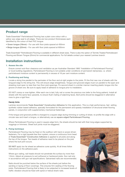## **Product range**

Trade Essentials® Particleboard Flooring has a plain core colour with a yellow wax edge seal to all edges. There are two product thicknesses each identified by the colour of their PVC tongue:

- Green tongue (19mm) For use with floor joists spaced at 450mm
- Beige tongue (22mm) For use with floor joists spaced at 600mm



Trade Essentials® Particleboard Flooring is available in different sheet sizes. There is also the option of Termite Treated Particleboard Flooring and Brown Tongue (25mm) for commercial applications. For full details contact your nearest Laminex branch.

## **Installation instructions**

#### **1. Assess the site**

Ensure correct sub-floor clearance and ventilation as per Australian Standard 1860 "Installation of Particleboard Flooring", or local building regulations. Particleboard Flooring is not suitable under conditions of permanent dampness, i.e. where particleboard moisture content is permanently in excess of 16 per cent moisture content.

#### **2. Positioning and fixing**

Locate a string line parallel to the perimeter of the floor and at right angles to the joists. Fit the first new row of sheets with the tongued edge to the string line. This will ensure edge straightness. Tongue and grooved edges must run parallel to the span and sheeting must span no less than two floor joist spacings. Fix second sheet in a similar manner inserting plastic tongue into the groove of sheet one. Be sure to apply bead of adhesive to tongue prior to installation.

DO NOT cramp or over-tighten. After each row is laid, fully nail or screw the previous row (refer to the fixing pattern). Install all sheets with the same face upwards, to ensure flush mating of adjoining faces. Butt joints should be staggered in alternative rows to give a rigid floor.

#### Handy hints:

Laminex recommends Trade Essentials® Construction Adhesive for this application. This is a high performance, fast setting synthetic rubber based adhesive, specially formulated for the permanent and speedy installation of structural sheet flooring panels, in conjunction with supplementary mechanical fastenings.

If the tongue and grooved profile is changed to a square edge during trimming or cutting of sheet, re-profile the edge with a circular saw and insert a tongue, or alternatively use as square edged Particleboard Flooring.

Where Particleboard Flooring is used in square edge form, the sheets should be laid with their long edges supported by noggings or trimmers. Sheet butt joints must be staggered.

#### **3. Fixing technique**

Particleboard Flooring may be fixed on the subfloor with hand or power-driven fasteners. For a rigid squeak-free floor system, ensure a continuous 5mm bead of Trade Essentials® Construction Adhesive is applied to all joists and along the top of the tongue. Two beads of adhesive need to be placed on the joist where the butt joint occurs.

DO NOT apply too far ahead as adhesive cures quickly. At all times follow instructions on the adhesive pack.

Where gun nailing, nail heads should not penetrate the surface by more than 1.0mm. Adjust air pressure to suit softwood or hardwood joists. Gun nail only in accordance with gun nail specifications. Galvanised nails are recommended.

Nails should be punched below the surface of the sheets just before the sanding or laying of floor coverings. This ensures firm seating of the flooring joists. Particleboard Flooring that is likely to be subjected to increased levels of traffic vibration should be fixed with spiral or helical shank nails.

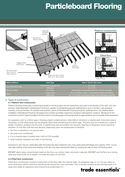

| <b>Nailing Method</b> | <b>Joist Type</b>       | Nail or Screw Size (mm)                                 |
|-----------------------|-------------------------|---------------------------------------------------------|
| Hand Hammer (nails)   | Hardwood & Cypress Pine | $50 \times 2.80$                                        |
|                       | Softwood                | $55 \times 3.15$                                        |
| Nail Gun (nails)*     | <b>All Timber</b>       | Ring shank D-head galvanised 65 x 2.8mm or similar      |
| Screw                 | <b>Timber Type</b>      | No. 10 X 50mm, Type 17 Countersunk head, Self drilling  |
|                       | Steel Type              | No. 10 X 45mm Countersunk head, Self embedding wing tip |

#### **4. Types of construction**

#### 4.1 Platform floor construction

Platform flooring construction involves flooring laid on the floor joists over the whole floor area prior to the erection of the wall and roof framing. Trade Essentials® Particleboard Flooring is capable of withstanding general weathering for up to 3 months. Less exposure however, is recommended. To maintain best practice, packs of Particleboard Flooring should be protected from the weather before installation. Particleboard Flooring will expand and contract as sheets respond to changes in atmospheric moisture. Allowance for the movement must be made throughout the floor area by providing gaps and special joints as appropriate to accommodate sheet expansion.

An expansion joint is a 20mm gap in flooring sheets located above a wide (50mm minimum) or double joist. Extra joist area is necessary so that sheet ends can be properly fixed while still allowing the 20mm gap. The joint may be covered by a metal or plastic moulding, screwed into the joist, or partitioning may be located over the joint. Spacing of expansion joints should be between 10 and 20m with the final decision depending upon the assessment of whether:

- the floor is elevated or on ground level
- the area is air conditioned
- it is a tropical region (coastal area, north of 27th parallel)
- what moisture variations are likely in the flooring

Exposure to very hot sun, particularly after the board has been soaked by rain, may cause panel shrinkage and cupping. If this occurs, then light wetting of the board and shading of the site may help minimise the effect by slowing the rate at which the flooring dries.

DO NOT stack heavy concentrated loads on the floor, e.g. bricks, heavy structural materials. DO NOT use the floor as a mixing table and avoid build up of plaster, concrete and paint on the floor.

#### 4.2 Fitted floor construction

Fitted floor construction involves construction of the floor after the internal walls. An expansion gap of 1–2 mm per metre of room dimension (10mm minimum) should be left around the room perimeter. This is usually covered by the skirting board. For large floor areas an expansion joint should be provided (see 4.1).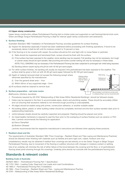#### 4.3 Upper storey construction

Upper storey construction utilises Particleboard Flooring laid on timber joists and supported on wall framing/internal brick work. Green and Beige Tongue Particleboard Flooring is ideal for internal upper storey construction and extensions.

#### **5. Surface finishing**

Australian Standard 1860 'Installation of Particleboard Flooring' provides guidelines for surface finishing.

- (a) Inspect for dampness especially if board has been weathered before proceeding with finishing operations; if found to be excessively damp it shall be left until its moisture content is 15 percent or less.
- (b) If the flooring is to be covered with carpet, the surface should be firm and tight with no loose flakes or particles:
	- (i) Nails should be inspected and hammered flush, screws should be flush with the surface.
	- (ii) If the surface has been exposed to the weather, some sanding may be required. Full sanding may not be necessary, but rough or uneven areas should be spot sanded. Nail punching and screw counter sinking will only be necessary in these areas. NOTE: FULL SANDING may be necessary if the Particleboard Flooring has been subjected to prolonged rain while being exposed.

(iii) Sanding before carpet laying should be with 40-60 grit sand paper.

- (c) For other surface finishes, full sanding will usually be required if the particleboard has been exposed to the weather. The surface shall be given a first cut with 40-60 grit sand paper followed by 80-100 grit sand paper.
- (d) Depth of material removed shall not exceed the following except where otherwise specified by the manufacturer:
	- (i) Over the general sheet area 1mm
	- (ii) Within 50mm of any supported edge 2mm
- (e) All surfaces shall be cleaned to remove dust.

#### **6. Surface preparation - wet area rooms**

(Bathrooms, kitchens, laundries)

- Procedures required by AS 3740 'Waterproofing of Wet Areas Within Residential Buildings', should be followed closely.
- Holes may be required in the floor to accommodate pipes, drains and plumbing wastes. These should be accurately drilled and cut ensuring that excessive material is not removed (rough punching is unacceptable).
- All edges should be sealed using pink primer, construction adhesive, or another suitable sealer.
- All building debris, plastic or other building matter should be completely removed and the floor surface sanded clean prior to waterproofing treatments.
- Joints between sheets should be carefully inspected and prepared. Flashing should be placed over joints.
- An impermeable membrane is required to seal the floor prior to the overlaying of surface finishes such as ceramic or PVC tiles. Laminex recommends the following for application:
	- (a) Davco Dampfast
	- (b) Bostick Ultraseal

Laminex recommends that the respective manufacturer's instructions are followed when applying these products.

#### **7. Resilient sheet and tile**

The requirements of Australian Standard 1884 'Floor Coverings – Resilient Sheet and Tiles-Laying and Maintenance Practices' should be followed when finishing with materials such as flexible and semi-rigid cork, rubber, linoleum and vinyl.

Unsatisfactory results may be obtained if resilient floor coverings are laid directly on to the Green Tongue or Beige Tongue Particleboard Flooring, due to movement of the flooring or subfloor structure with changes in moisture content or settling.

Use of an underlay will minimise the risk of either failure of the bond between the covering and the floor, or of particleboard flooring sheet joints showing through the coverings. Underlay joins should not coincide with the particleboard flooring joins.

### **Standards & relevant codes**

#### **Building Code of Australia**

AS/NZS 1860.1 – Particleboard Flooring Part 1 Specification.

AS 1170.1 SAA – Loading Code, Dead and Live Loads and Load Combinations.

AS 1860.2 – Particleboard Flooring Part 2 Installation.

AS 1884 – Floor Coverings – Resilient Sheet and Tiles - Laying and Maintenance Practice.

AS 3740 – Waterproofing of Wet Areas Within Residential Buildings.

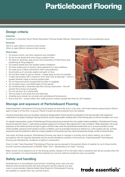# **Design criteria**

#### **Industrial**

Guidelines in Australian Wood Panels Association Flooring Design Manual. Obtainable online at www.woodpanels.org.au

#### **Domestic**

19mm to span 450mm maximum joist centres 22mm to span 600mm maximum joist centres

#### **Hints & tips:**

- Do ensure correct, sub-floor clearance and ventilation.
- Do lay out all sheets first when fixing a platform floor.
- Do leave an expansion gap around room perimeters of fitted floors (see positioning & fixing diagram).
- Do protect sheets from the weather before installation.
- Do store sheets prior to fixing to allow adjustment to site conditions.
- Do make sure to follow instructions when using adhesive.
- Avoid build-up of concrete, plaster and paint on floor.
- Do not allow water to pool on sheets sweep away as soon as possible.
- If water has pooled: drill a maximum 3mm drain hole at spacings 1 metre or greater between holes to remove pooled water.
- Do not leave butt joints unsupported by joists or noggings.
- Do not stack heavy concreted loads on floor panels.
- Do not Bondcrete or otherwise seal floor during construction this will prevent floor drying out properly.
- Do not use floor as a mixing table.
- Set out joists to suit sheet size and thickness.
- Underlay joins should not coincide with particleboard flooring joins.
- And a final hint screws (rather than nails) produce a better squeak-free finish for DIY installers.

# **Storage and exposure of Particleboard Flooring**

Trade Essentials® Particleboard Flooring should always be stored flat and in a dry area, with timber bearers spaced about 450mm apart to keep it off the floor or ground. Packs of board are best protected from the weather.

Covering should allow some air circulation during the storage period. Packs should be protected on the top and sides with waterproof material (such as plastic sheeting). Packing should be used to keep plastic sheeting clear of the flooring pack so that air circulation can occur.

To maintain best practice, packs of Particleboard Flooring should be protected from the weather before installation. Particleboard Flooring should be stored for about 1 week (where possible longer) prior to fixing to allow adjustment to site conditions. Water absorption will cause expansion of the sheets and this will lead to gaps in the floor later when the particleboard sheet dries out. It is recommended to avoid where possible, exposure of the panels to severe conditions, such as prolonged exposure to intense sun, cyclic soaking rain etc, as these exposures have the potential to alter the moisture gradient of the panels and may cause dimensional change, similar to natural timber.

Like nearly all timber products, Particleboard Flooring may react to changes in humidity and to direct wetting, but if laid in accordance with the required standards and the recommendations outlined in this brochure, Trade Essentials® Particleboard Flooring will withstand the conditions of platform construction.

Once it is laid, Trade Essentials® Particleboard Flooring may be exposed to the general effects of weather for up to three months and still meet the requirements of AS/NZS 1860.1 Part 1 Specifications for Class 1 flooring.

Water should not be allowed to lie on the flooring surface. Sweep it off or drill drain holes in positions that will be covered when the job is completed. It is recommended that protection by roof and walls be provided as soon as possible.

# **Safety and handling**

Particleboard is a reconstituted wood product containing wood, resin and wax. Machine tools should be fitted with dust extractors and the wearing of a dust mask is recommended. Material Safety Data Sheets for Particleboard Flooring are available on request from any Laminex branch.